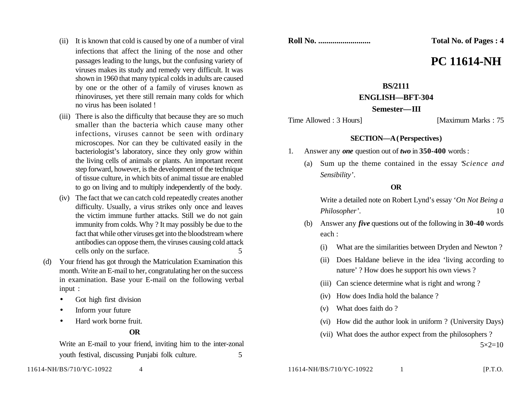- (ii) It is known that cold is caused by one of a number of viral infections that affect the lining of the nose and other passages leading to the lungs, but the confusing variety of viruses makes its study and remedy very difficult. It was shown in 1960 that many typical colds in adults are caused by one or the other of a family of viruses known as rhinoviruses, yet there still remain many colds for which no virus has been isolated !
- (iii) There is also the difficulty that because they are so much smaller than the bacteria which cause many other infections, viruses cannot be seen with ordinary microscopes. Nor can they be cultivated easily in the bacteriologist's laboratory, since they only grow within the living cells of animals or plants. An important recent step forward, however, is the development of the technique of tissue culture, in which bits of animal tissue are enabled to go on living and to multiply independently of the body.
- (iv) The fact that we can catch cold repeatedly creates another difficulty. Usually, a virus strikes only once and leaves the victim immune further attacks. Still we do not gain immunity from colds. Why ? It may possibly be due to the fact that while other viruses get into the bloodstream where antibodies can oppose them, the viruses causing cold attack cells only on the surface. 5
- (d) Your friend has got through the Matriculation Examination this month. Write an E-mail to her, congratulating her on the success in examination. Base your E-mail on the following verbal input :
	- Got high first division
	- Inform your future
	- Hard work borne fruit.

## **OR**

Write an E-mail to your friend, inviting him to the inter-zonal youth festival, discussing Punjabi folk culture. 5

**Roll No. .......................... Total No. of Pages : 4**

# **PC 11614-NH**

## **BS/2111**

## **ENGLISH—BFT-304**

#### **Semester—III**

Time Allowed : 3 Hours] [Maximum Marks : 75

## **SECTION—A (Perspectives)**

- 1. Answer any *one* question out of *two* in **350-400** words :
	- (a) Sum up the theme contained in the essay '*Science and Sensibility*'.

#### **OR**

Write a detailed note on Robert Lynd's essay '*On Not Being a Philosopher*'. 10

- (b) Answer any *five* questions out of the following in **30-40** words each :
	- (i) What are the similarities between Dryden and Newton ?
	- (ii) Does Haldane believe in the idea 'living according to nature' ? How does he support his own views ?
	- (iii) Can science determine what is right and wrong ?
	- (iv) How does India hold the balance ?
	- (v) What does faith do ?
	- (vi) How did the author look in uniform ? (University Days)
	- (vii) What does the author expect from the philosophers ?

 $5 \times 2 = 10$